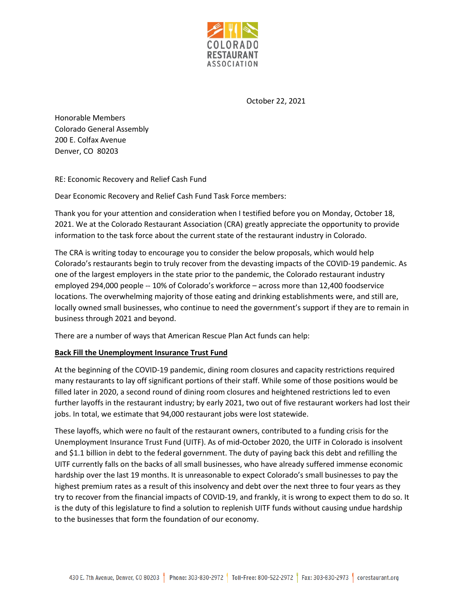

October 22, 2021

Honorable Members Colorado General Assembly 200 E. Colfax Avenue Denver, CO 80203

RE: Economic Recovery and Relief Cash Fund

Dear Economic Recovery and Relief Cash Fund Task Force members:

Thank you for your attention and consideration when I testified before you on Monday, October 18, 2021. We at the Colorado Restaurant Association (CRA) greatly appreciate the opportunity to provide information to the task force about the current state of the restaurant industry in Colorado.

The CRA is writing today to encourage you to consider the below proposals, which would help Colorado's restaurants begin to truly recover from the devasting impacts of the COVID-19 pandemic. As one of the largest employers in the state prior to the pandemic, the Colorado restaurant industry employed 294,000 people -- 10% of Colorado's workforce – across more than 12,400 foodservice locations. The overwhelming majority of those eating and drinking establishments were, and still are, locally owned small businesses, who continue to need the government's support if they are to remain in business through 2021 and beyond.

There are a number of ways that American Rescue Plan Act funds can help:

## **Back Fill the Unemployment Insurance Trust Fund**

At the beginning of the COVID-19 pandemic, dining room closures and capacity restrictions required many restaurants to lay off significant portions of their staff. While some of those positions would be filled later in 2020, a second round of dining room closures and heightened restrictions led to even further layoffs in the restaurant industry; by early 2021, two out of five restaurant workers had lost their jobs. In total, we estimate that 94,000 restaurant jobs were lost statewide.

These layoffs, which were no fault of the restaurant owners, contributed to a funding crisis for the Unemployment Insurance Trust Fund (UITF). As of mid-October 2020, the UITF in Colorado is insolvent and \$1.1 billion in debt to the federal government. The duty of paying back this debt and refilling the UITF currently falls on the backs of all small businesses, who have already suffered immense economic hardship over the last 19 months. It is unreasonable to expect Colorado's small businesses to pay the highest premium rates as a result of this insolvency and debt over the next three to four years as they try to recover from the financial impacts of COVID-19, and frankly, it is wrong to expect them to do so. It is the duty of this legislature to find a solution to replenish UITF funds without causing undue hardship to the businesses that form the foundation of our economy.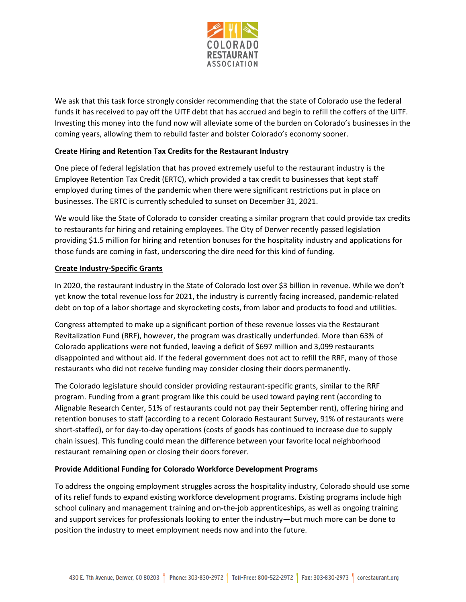

We ask that this task force strongly consider recommending that the state of Colorado use the federal funds it has received to pay off the UITF debt that has accrued and begin to refill the coffers of the UITF. Investing this money into the fund now will alleviate some of the burden on Colorado's businesses in the coming years, allowing them to rebuild faster and bolster Colorado's economy sooner.

## **Create Hiring and Retention Tax Credits for the Restaurant Industry**

One piece of federal legislation that has proved extremely useful to the restaurant industry is the Employee Retention Tax Credit (ERTC), which provided a tax credit to businesses that kept staff employed during times of the pandemic when there were significant restrictions put in place on businesses. The ERTC is currently scheduled to sunset on December 31, 2021.

We would like the State of Colorado to consider creating a similar program that could provide tax credits to restaurants for hiring and retaining employees. The City of Denver recently passed legislation providing \$1.5 million for hiring and retention bonuses for the hospitality industry and applications for those funds are coming in fast, underscoring the dire need for this kind of funding.

# **Create Industry-Specific Grants**

In 2020, the restaurant industry in the State of Colorado lost over \$3 billion in revenue. While we don't yet know the total revenue loss for 2021, the industry is currently facing increased, pandemic-related debt on top of a labor shortage and skyrocketing costs, from labor and products to food and utilities.

Congress attempted to make up a significant portion of these revenue losses via the Restaurant Revitalization Fund (RRF), however, the program was drastically underfunded. More than 63% of Colorado applications were not funded, leaving a deficit of \$697 million and 3,099 restaurants disappointed and without aid. If the federal government does not act to refill the RRF, many of those restaurants who did not receive funding may consider closing their doors permanently.

The Colorado legislature should consider providing restaurant-specific grants, similar to the RRF program. Funding from a grant program like this could be used toward paying rent (according to Alignable Research Center, 51% of restaurants could not pay their September rent), offering hiring and retention bonuses to staff (according to a recent Colorado Restaurant Survey, 91% of restaurants were short-staffed), or for day-to-day operations (costs of goods has continued to increase due to supply chain issues). This funding could mean the difference between your favorite local neighborhood restaurant remaining open or closing their doors forever.

## **Provide Additional Funding for Colorado Workforce Development Programs**

To address the ongoing employment struggles across the hospitality industry, Colorado should use some of its relief funds to expand existing workforce development programs. Existing programs include high school culinary and management training and on-the-job apprenticeships, as well as ongoing training and support services for professionals looking to enter the industry—but much more can be done to position the industry to meet employment needs now and into the future.